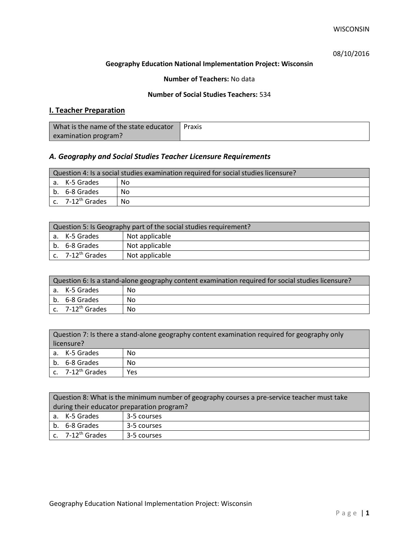# 08/10/2016

## **Geography Education National Implementation Project: Wisconsin**

## **Number of Teachers:** No data

## **Number of Social Studies Teachers:** 534

# **I. Teacher Preparation**

| What is the name of the state educator | Praxis |
|----------------------------------------|--------|
| examination program?                   |        |

# *A. Geography and Social Studies Teacher Licensure Requirements*

| Question 4: Is a social studies examination required for social studies licensure? |                       |     |
|------------------------------------------------------------------------------------|-----------------------|-----|
|                                                                                    | a. K-5 Grades         | No. |
|                                                                                    | b. 6-8 Grades         | No  |
|                                                                                    | c. $7-12^{th}$ Grades | No  |

| Question 5: Is Geography part of the social studies requirement? |                              |                |  |
|------------------------------------------------------------------|------------------------------|----------------|--|
|                                                                  | a. K-5 Grades                | Not applicable |  |
|                                                                  | b. 6-8 Grades                | Not applicable |  |
|                                                                  | c. 7-12 <sup>th</sup> Grades | Not applicable |  |

| Question 6: Is a stand-alone geography content examination required for social studies licensure? |    |  |
|---------------------------------------------------------------------------------------------------|----|--|
| a. K-5 Grades                                                                                     | No |  |
| b. 6-8 Grades                                                                                     | Nο |  |
| c. $7-12^{th}$ Grades                                                                             | No |  |

| Question 7: Is there a stand-alone geography content examination required for geography only<br>licensure? |     |  |
|------------------------------------------------------------------------------------------------------------|-----|--|
| a. K-5 Grades                                                                                              | No  |  |
| b. 6-8 Grades                                                                                              | No  |  |
| c. 7-12 <sup>th</sup> Grades                                                                               | Yes |  |

|                                            | Question 8: What is the minimum number of geography courses a pre-service teacher must take |             |  |
|--------------------------------------------|---------------------------------------------------------------------------------------------|-------------|--|
| during their educator preparation program? |                                                                                             |             |  |
|                                            | a. K-5 Grades                                                                               | 3-5 courses |  |
|                                            | b. 6-8 Grades                                                                               | 3-5 courses |  |
|                                            | c. 7-12 <sup>th</sup> Grades                                                                | 3-5 courses |  |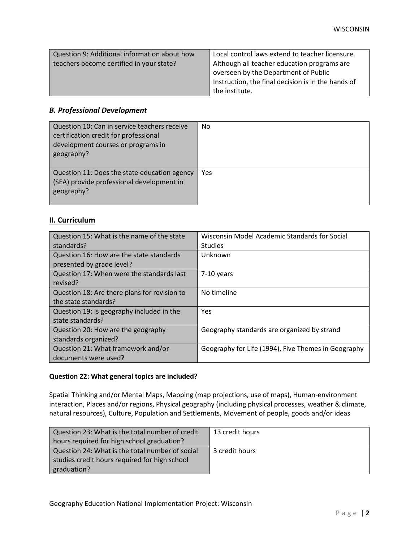| Question 9: Additional information about how | Local control laws extend to teacher licensure.    |
|----------------------------------------------|----------------------------------------------------|
| teachers become certified in your state?     | Although all teacher education programs are        |
|                                              | overseen by the Department of Public               |
|                                              | Instruction, the final decision is in the hands of |
|                                              | the institute.                                     |

## *B. Professional Development*

| Question 10: Can in service teachers receive<br>certification credit for professional<br>development courses or programs in<br>geography? | No  |
|-------------------------------------------------------------------------------------------------------------------------------------------|-----|
| Question 11: Does the state education agency<br>(SEA) provide professional development in<br>geography?                                   | Yes |

# **II. Curriculum**

| Question 15: What is the name of the state   | Wisconsin Model Academic Standards for Social       |
|----------------------------------------------|-----------------------------------------------------|
| standards?                                   | <b>Studies</b>                                      |
| Question 16: How are the state standards     | Unknown                                             |
| presented by grade level?                    |                                                     |
| Question 17: When were the standards last    | $7-10$ years                                        |
| revised?                                     |                                                     |
| Question 18: Are there plans for revision to | No timeline                                         |
| the state standards?                         |                                                     |
| Question 19: Is geography included in the    | <b>Yes</b>                                          |
| state standards?                             |                                                     |
| Question 20: How are the geography           | Geography standards are organized by strand         |
| standards organized?                         |                                                     |
| Question 21: What framework and/or           | Geography for Life (1994), Five Themes in Geography |
| documents were used?                         |                                                     |

### **Question 22: What general topics are included?**

Spatial Thinking and/or Mental Maps, Mapping (map projections, use of maps), Human-environment interaction, Places and/or regions, Physical geography (including physical processes, weather & climate, natural resources), Culture, Population and Settlements, Movement of people, goods and/or ideas

| Question 23: What is the total number of credit | 13 credit hours |
|-------------------------------------------------|-----------------|
| hours required for high school graduation?      |                 |
| Question 24: What is the total number of social | 3 credit hours  |
| studies credit hours required for high school   |                 |
| graduation?                                     |                 |